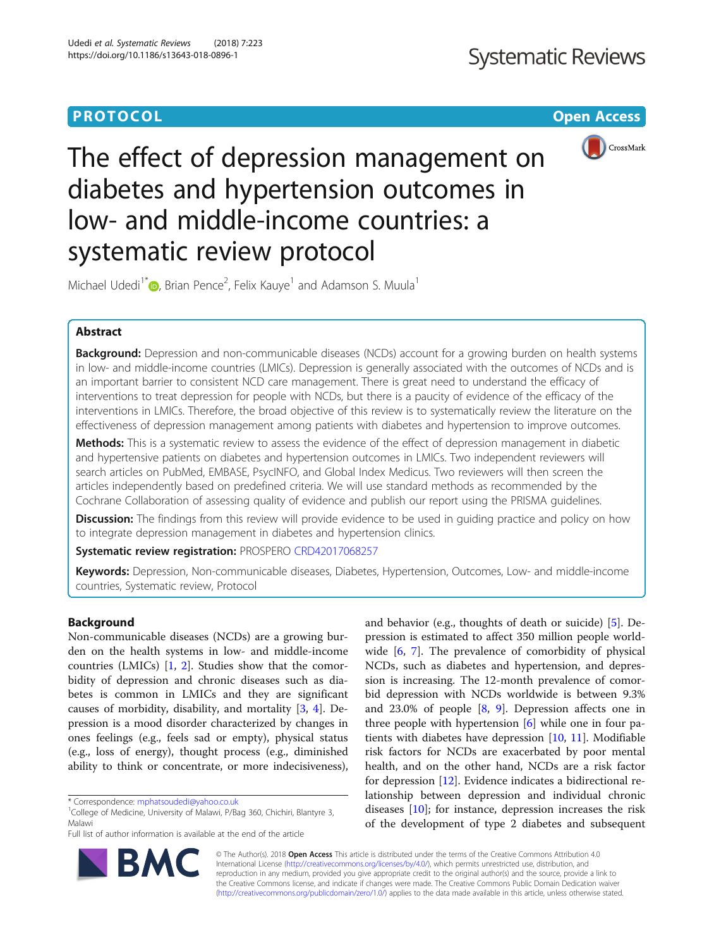# **PROTOCOL CONSUMING THE OPEN ACCESS**



# The effect of depression management on diabetes and hypertension outcomes in low- and middle-income countries: a systematic review protocol

Michael Udedi<sup>1\*</sup> $\textsf{\textregistered}$ [,](http://orcid.org/0000-0001-8769-4313) Brian Pence<sup>2</sup>, Felix Kauye<sup>1</sup> and Adamson S. Muula<sup>1</sup>

## Abstract

Background: Depression and non-communicable diseases (NCDs) account for a growing burden on health systems in low- and middle-income countries (LMICs). Depression is generally associated with the outcomes of NCDs and is an important barrier to consistent NCD care management. There is great need to understand the efficacy of interventions to treat depression for people with NCDs, but there is a paucity of evidence of the efficacy of the interventions in LMICs. Therefore, the broad objective of this review is to systematically review the literature on the effectiveness of depression management among patients with diabetes and hypertension to improve outcomes.

Methods: This is a systematic review to assess the evidence of the effect of depression management in diabetic and hypertensive patients on diabetes and hypertension outcomes in LMICs. Two independent reviewers will search articles on PubMed, EMBASE, PsycINFO, and Global Index Medicus. Two reviewers will then screen the articles independently based on predefined criteria. We will use standard methods as recommended by the Cochrane Collaboration of assessing quality of evidence and publish our report using the PRISMA guidelines.

**Discussion:** The findings from this review will provide evidence to be used in quiding practice and policy on how to integrate depression management in diabetes and hypertension clinics.

Systematic review registration: PROSPERO [CRD42017068257](https://www.crd.york.ac.uk/prospero/display_record.php?RecordID=68257)

Keywords: Depression, Non-communicable diseases, Diabetes, Hypertension, Outcomes, Low- and middle-income countries, Systematic review, Protocol

## Background

Non-communicable diseases (NCDs) are a growing burden on the health systems in low- and middle-income countries (LMICs) [\[1](#page-4-0), [2](#page-4-0)]. Studies show that the comorbidity of depression and chronic diseases such as diabetes is common in LMICs and they are significant causes of morbidity, disability, and mortality [\[3](#page-4-0), [4](#page-4-0)]. Depression is a mood disorder characterized by changes in ones feelings (e.g., feels sad or empty), physical status (e.g., loss of energy), thought process (e.g., diminished ability to think or concentrate, or more indecisiveness),

and behavior (e.g., thoughts of death or suicide) [[5\]](#page-4-0). Depression is estimated to affect 350 million people worldwide [\[6](#page-4-0), [7](#page-4-0)]. The prevalence of comorbidity of physical NCDs, such as diabetes and hypertension, and depression is increasing. The 12-month prevalence of comorbid depression with NCDs worldwide is between 9.3% and 23.0% of people [[8,](#page-4-0) [9\]](#page-4-0). Depression affects one in three people with hypertension [\[6](#page-4-0)] while one in four patients with diabetes have depression [[10,](#page-4-0) [11\]](#page-4-0). Modifiable risk factors for NCDs are exacerbated by poor mental health, and on the other hand, NCDs are a risk factor for depression [\[12\]](#page-4-0). Evidence indicates a bidirectional relationship between depression and individual chronic diseases [\[10](#page-4-0)]; for instance, depression increases the risk of the development of type 2 diabetes and subsequent



© The Author(s). 2018 Open Access This article is distributed under the terms of the Creative Commons Attribution 4.0 International License [\(http://creativecommons.org/licenses/by/4.0/](http://creativecommons.org/licenses/by/4.0/)), which permits unrestricted use, distribution, and reproduction in any medium, provided you give appropriate credit to the original author(s) and the source, provide a link to the Creative Commons license, and indicate if changes were made. The Creative Commons Public Domain Dedication waiver [\(http://creativecommons.org/publicdomain/zero/1.0/](http://creativecommons.org/publicdomain/zero/1.0/)) applies to the data made available in this article, unless otherwise stated.

<sup>\*</sup> Correspondence: [mphatsoudedi@yahoo.co.uk](mailto:mphatsoudedi@yahoo.co.uk) <sup>1</sup>

<sup>&</sup>lt;sup>1</sup>College of Medicine, University of Malawi, P/Bag 360, Chichiri, Blantyre 3, Malawi

Full list of author information is available at the end of the article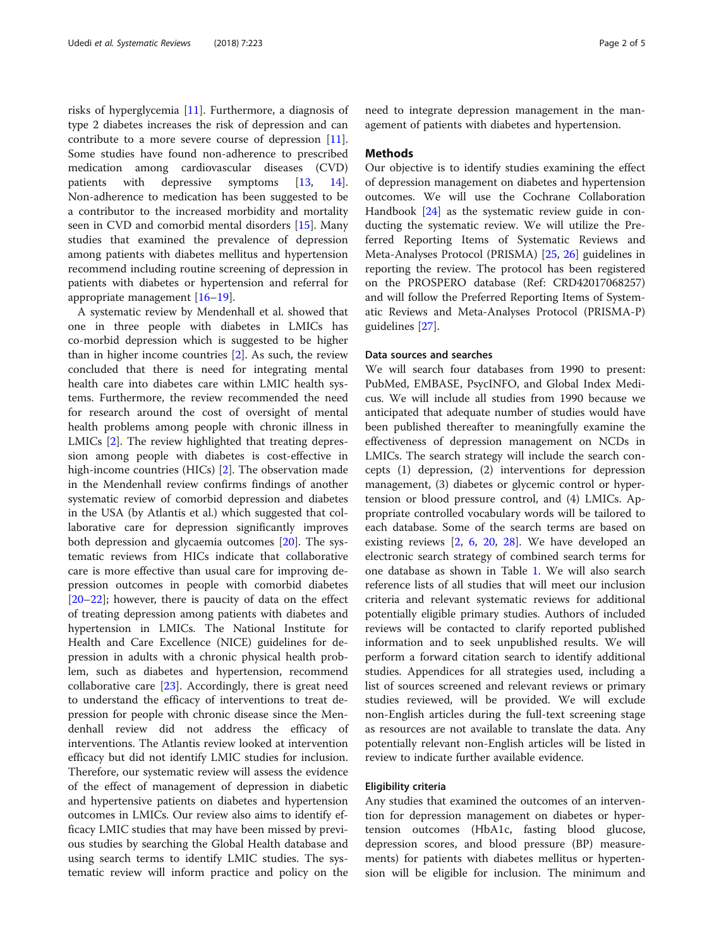risks of hyperglycemia [[11](#page-4-0)]. Furthermore, a diagnosis of type 2 diabetes increases the risk of depression and can contribute to a more severe course of depression [\[11](#page-4-0)]. Some studies have found non-adherence to prescribed medication among cardiovascular diseases (CVD) patients with depressive symptoms [[13](#page-4-0), [14](#page-4-0)]. Non-adherence to medication has been suggested to be a contributor to the increased morbidity and mortality seen in CVD and comorbid mental disorders [[15\]](#page-4-0). Many studies that examined the prevalence of depression among patients with diabetes mellitus and hypertension recommend including routine screening of depression in patients with diabetes or hypertension and referral for appropriate management [\[16](#page-4-0)–[19](#page-4-0)].

A systematic review by Mendenhall et al. showed that one in three people with diabetes in LMICs has co-morbid depression which is suggested to be higher than in higher income countries [\[2](#page-4-0)]. As such, the review concluded that there is need for integrating mental health care into diabetes care within LMIC health systems. Furthermore, the review recommended the need for research around the cost of oversight of mental health problems among people with chronic illness in LMICs [[2\]](#page-4-0). The review highlighted that treating depression among people with diabetes is cost-effective in high-income countries (HICs) [[2\]](#page-4-0). The observation made in the Mendenhall review confirms findings of another systematic review of comorbid depression and diabetes in the USA (by Atlantis et al.) which suggested that collaborative care for depression significantly improves both depression and glycaemia outcomes [[20\]](#page-4-0). The systematic reviews from HICs indicate that collaborative care is more effective than usual care for improving depression outcomes in people with comorbid diabetes [[20](#page-4-0)–[22](#page-4-0)]; however, there is paucity of data on the effect of treating depression among patients with diabetes and hypertension in LMICs. The National Institute for Health and Care Excellence (NICE) guidelines for depression in adults with a chronic physical health problem, such as diabetes and hypertension, recommend collaborative care  $[23]$  $[23]$ . Accordingly, there is great need to understand the efficacy of interventions to treat depression for people with chronic disease since the Mendenhall review did not address the efficacy of interventions. The Atlantis review looked at intervention efficacy but did not identify LMIC studies for inclusion. Therefore, our systematic review will assess the evidence of the effect of management of depression in diabetic and hypertensive patients on diabetes and hypertension outcomes in LMICs. Our review also aims to identify efficacy LMIC studies that may have been missed by previous studies by searching the Global Health database and using search terms to identify LMIC studies. The systematic review will inform practice and policy on the

need to integrate depression management in the management of patients with diabetes and hypertension.

## Methods

Our objective is to identify studies examining the effect of depression management on diabetes and hypertension outcomes. We will use the Cochrane Collaboration Handbook [\[24](#page-4-0)] as the systematic review guide in conducting the systematic review. We will utilize the Preferred Reporting Items of Systematic Reviews and Meta-Analyses Protocol (PRISMA) [[25,](#page-4-0) [26](#page-4-0)] guidelines in reporting the review. The protocol has been registered on the PROSPERO database (Ref: CRD42017068257) and will follow the Preferred Reporting Items of Systematic Reviews and Meta-Analyses Protocol (PRISMA-P) guidelines [[27\]](#page-4-0).

## Data sources and searches

We will search four databases from 1990 to present: PubMed, EMBASE, PsycINFO, and Global Index Medicus. We will include all studies from 1990 because we anticipated that adequate number of studies would have been published thereafter to meaningfully examine the effectiveness of depression management on NCDs in LMICs. The search strategy will include the search concepts (1) depression, (2) interventions for depression management, (3) diabetes or glycemic control or hypertension or blood pressure control, and (4) LMICs. Appropriate controlled vocabulary words will be tailored to each database. Some of the search terms are based on existing reviews [\[2](#page-4-0), [6](#page-4-0), [20](#page-4-0), [28\]](#page-4-0). We have developed an electronic search strategy of combined search terms for one database as shown in Table [1](#page-2-0). We will also search reference lists of all studies that will meet our inclusion criteria and relevant systematic reviews for additional potentially eligible primary studies. Authors of included reviews will be contacted to clarify reported published information and to seek unpublished results. We will perform a forward citation search to identify additional studies. Appendices for all strategies used, including a list of sources screened and relevant reviews or primary studies reviewed, will be provided. We will exclude non-English articles during the full-text screening stage as resources are not available to translate the data. Any potentially relevant non-English articles will be listed in review to indicate further available evidence.

## Eligibility criteria

Any studies that examined the outcomes of an intervention for depression management on diabetes or hypertension outcomes (HbA1c, fasting blood glucose, depression scores, and blood pressure (BP) measurements) for patients with diabetes mellitus or hypertension will be eligible for inclusion. The minimum and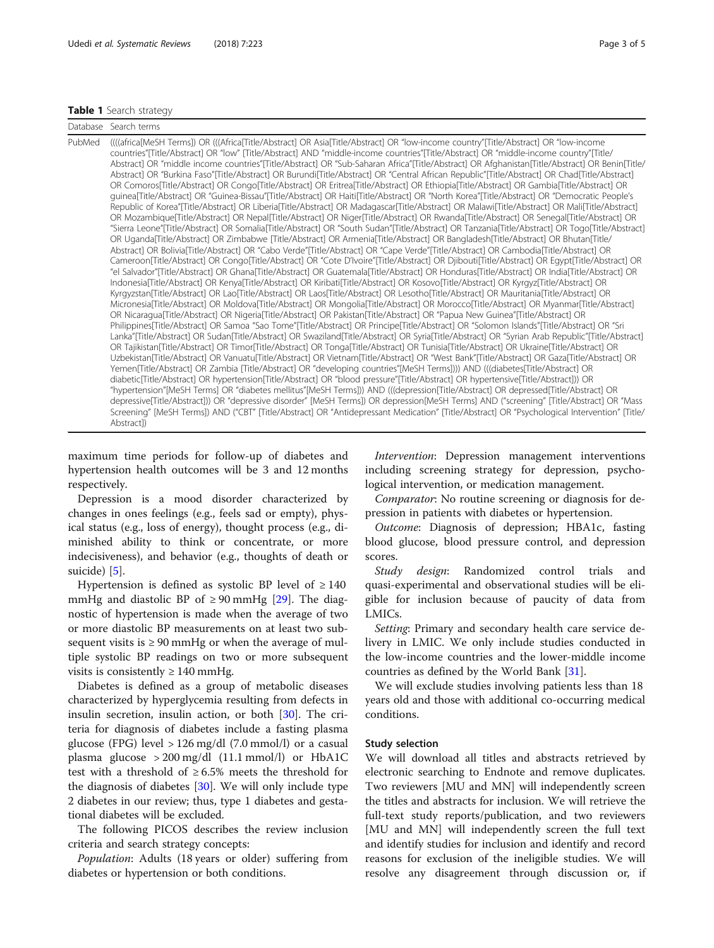## <span id="page-2-0"></span>Table 1 Search strategy

| PubMed<br>((((africa[MeSH Terms]) OR (((Africa[Title/Abstract] OR Asia[Title/Abstract] OR "low-income country"[Title/Abstract] OR "low-income<br>countries"[Title/Abstract] OR "low" [Title/Abstract] AND "middle-income countries"[Title/Abstract] OR "middle-income country"[Title/<br>Abstract] OR "middle income countries"[Title/Abstract] OR "Sub-Saharan Africa"[Title/Abstract] OR Afghanistan[Title/Abstract] OR Benin[Title/                                                                                                                                                                                                                                                                                                                                                                                                                                                                                                                                                                                                                                                                                                                                                                                                                                                                                                                                                                                                                                                                                                                                                                                                                                                                                                                                                                                                                                                                                                                                                                                                                                                                                                                                                                                                                                                                                                                                                                                                                                                                                                                                                                                                                                                                                                                                                                                                                                                                                                                                                                                                                                                                                                                                                                                                                                                                                                     |  |
|--------------------------------------------------------------------------------------------------------------------------------------------------------------------------------------------------------------------------------------------------------------------------------------------------------------------------------------------------------------------------------------------------------------------------------------------------------------------------------------------------------------------------------------------------------------------------------------------------------------------------------------------------------------------------------------------------------------------------------------------------------------------------------------------------------------------------------------------------------------------------------------------------------------------------------------------------------------------------------------------------------------------------------------------------------------------------------------------------------------------------------------------------------------------------------------------------------------------------------------------------------------------------------------------------------------------------------------------------------------------------------------------------------------------------------------------------------------------------------------------------------------------------------------------------------------------------------------------------------------------------------------------------------------------------------------------------------------------------------------------------------------------------------------------------------------------------------------------------------------------------------------------------------------------------------------------------------------------------------------------------------------------------------------------------------------------------------------------------------------------------------------------------------------------------------------------------------------------------------------------------------------------------------------------------------------------------------------------------------------------------------------------------------------------------------------------------------------------------------------------------------------------------------------------------------------------------------------------------------------------------------------------------------------------------------------------------------------------------------------------------------------------------------------------------------------------------------------------------------------------------------------------------------------------------------------------------------------------------------------------------------------------------------------------------------------------------------------------------------------------------------------------------------------------------------------------------------------------------------------------------------------------------------------------------------------------------------------------|--|
| Abstract] OR "Burkina Faso"[Title/Abstract] OR Burundi[Title/Abstract] OR "Central African Republic"[Title/Abstract] OR Chad[Title/Abstract]<br>OR Comoros[Title/Abstract] OR Congo[Title/Abstract] OR Eritrea[Title/Abstract] OR Ethiopia[Title/Abstract] OR Gambia[Title/Abstract] OR<br>quinea[Title/Abstract] OR "Guinea-Bissau"[Title/Abstract] OR Haiti[Title/Abstract] OR "North Korea"[Title/Abstract] OR "Democratic People's<br>Republic of Korea"[Title/Abstract] OR Liberia[Title/Abstract] OR Madagascar[Title/Abstract] OR Malawi[Title/Abstract] OR Mali[Title/Abstract]<br>OR Mozambique[Title/Abstract] OR Nepal[Title/Abstract] OR Niger[Title/Abstract] OR Rwanda[Title/Abstract] OR Senegal[Title/Abstract] OR<br>"Sierra Leone"[Title/Abstract] OR Somalia[Title/Abstract] OR "South Sudan"[Title/Abstract] OR Tanzania[Title/Abstract] OR Togo[Title/Abstract]<br>OR Uganda[Title/Abstract] OR Zimbabwe [Title/Abstract] OR Armenia[Title/Abstract] OR Bangladesh[Title/Abstract] OR Bhutan[Title/<br>Abstract] OR Bolivia Title/Abstract] OR "Cabo Verde" [Title/Abstract] OR "Cape Verde" [Title/Abstract] OR Cambodia [Title/Abstract] OR<br>Cameroon[Title/Abstract] OR Congo[Title/Abstract] OR "Cote D'Ivoire"[Title/Abstract] OR Djibouti[Title/Abstract] OR Egypt[Title/Abstract] OR<br>el Salvador"[Title/Abstract] OR Ghana[Title/Abstract] OR Guatemala[Title/Abstract] OR Honduras[Title/Abstract] OR India[Title/Abstract] OR<br>Indonesia[Title/Abstract] OR Kenya[Title/Abstract] OR Kiribati[Title/Abstract] OR Kosovo[Title/Abstract] OR Kyrgyz[Title/Abstract] OR<br>Kyrgyzstan[Title/Abstract] OR Lao[Title/Abstract] OR Laos[Title/Abstract] OR Lesotho[Title/Abstract] OR Mauritania[Title/Abstract] OR<br>Micronesia[Title/Abstract] OR Moldova[Title/Abstract] OR Mongolia[Title/Abstract] OR Morocco[Title/Abstract] OR Myanmar[Title/Abstract]<br>OR Nicaraqua[Title/Abstract] OR Nigeria[Title/Abstract] OR Pakistan[Title/Abstract] OR "Papua New Guinea"[Title/Abstract] OR<br>Philippines[Title/Abstract] OR Samoa "Sao Tome"[Title/Abstract] OR Principe[Title/Abstract] OR "Solomon Islands"[Title/Abstract] OR "Sri<br>Lanka"[Title/Abstract] OR Sudan[Title/Abstract] OR Swaziland[Title/Abstract] OR Syria[Title/Abstract] OR "Syrian Arab Republic"[Title/Abstract]<br>OR Tajikistan[Title/Abstract] OR Timor[Title/Abstract] OR Tonga[Title/Abstract] OR Tunisia[Title/Abstract] OR Ukraine[Title/Abstract] OR<br>Uzbekistan[Title/Abstract] OR Vanuatu[Title/Abstract] OR Vietnam[Title/Abstract] OR "West Bank"[Title/Abstract] OR Gaza[Title/Abstract] OR<br>Yemen[Title/Abstract] OR Zambia [Title/Abstract] OR "developing countries"[MeSH Terms]))) AND (((diabetes[Title/Abstract] OR<br>diabetic[Title/Abstract] OR hypertension[Title/Abstract] OR "blood pressure"[Title/Abstract] OR hypertensive[Title/Abstract])) OR<br>"hypertension"[MeSH Terms] OR "diabetes mellitus"[MeSH Terms])) AND (((depression[Title/Abstract] OR depressed[Title/Abstract] OR<br>depressive[Title/Abstract])) OR "depressive disorder" [MeSH Terms]) OR depression[MeSH Terms] AND ("screening" [Title/Abstract] OR "Mass<br>Screening" [MeSH Terms]) AND ("CBT" [Title/Abstract] OR "Antidepressant Medication" [Title/Abstract] OR "Psychological Intervention" [Title/<br>Abstract]) |  |

maximum time periods for follow-up of diabetes and hypertension health outcomes will be 3 and 12 months respectively.

Depression is a mood disorder characterized by changes in ones feelings (e.g., feels sad or empty), physical status (e.g., loss of energy), thought process (e.g., diminished ability to think or concentrate, or more indecisiveness), and behavior (e.g., thoughts of death or suicide) [\[5](#page-4-0)].

Hypertension is defined as systolic BP level of  $\geq 140$ mmHg and diastolic BP of  $\geq$  90 mmHg [\[29](#page-4-0)]. The diagnostic of hypertension is made when the average of two or more diastolic BP measurements on at least two subsequent visits is  $\geq 90$  mmHg or when the average of multiple systolic BP readings on two or more subsequent visits is consistently  $\geq 140$  mmHg.

Diabetes is defined as a group of metabolic diseases characterized by hyperglycemia resulting from defects in insulin secretion, insulin action, or both [[30\]](#page-4-0). The criteria for diagnosis of diabetes include a fasting plasma glucose (FPG) level > 126 mg/dl (7.0 mmol/l) or a casual plasma glucose > 200 mg/dl (11.1 mmol/l) or HbA1C test with a threshold of  $\geq 6.5\%$  meets the threshold for the diagnosis of diabetes [[30\]](#page-4-0). We will only include type 2 diabetes in our review; thus, type 1 diabetes and gestational diabetes will be excluded.

The following PICOS describes the review inclusion criteria and search strategy concepts:

Population: Adults (18 years or older) suffering from diabetes or hypertension or both conditions.

Intervention: Depression management interventions including screening strategy for depression, psychological intervention, or medication management.

Comparator: No routine screening or diagnosis for depression in patients with diabetes or hypertension.

Outcome: Diagnosis of depression; HBA1c, fasting blood glucose, blood pressure control, and depression scores.

Study design: Randomized control trials and quasi-experimental and observational studies will be eligible for inclusion because of paucity of data from LMICs.

Setting: Primary and secondary health care service delivery in LMIC. We only include studies conducted in the low-income countries and the lower-middle income countries as defined by the World Bank [\[31\]](#page-4-0).

We will exclude studies involving patients less than 18 years old and those with additional co-occurring medical conditions.

### Study selection

We will download all titles and abstracts retrieved by electronic searching to Endnote and remove duplicates. Two reviewers [MU and MN] will independently screen the titles and abstracts for inclusion. We will retrieve the full-text study reports/publication, and two reviewers [MU and MN] will independently screen the full text and identify studies for inclusion and identify and record reasons for exclusion of the ineligible studies. We will resolve any disagreement through discussion or, if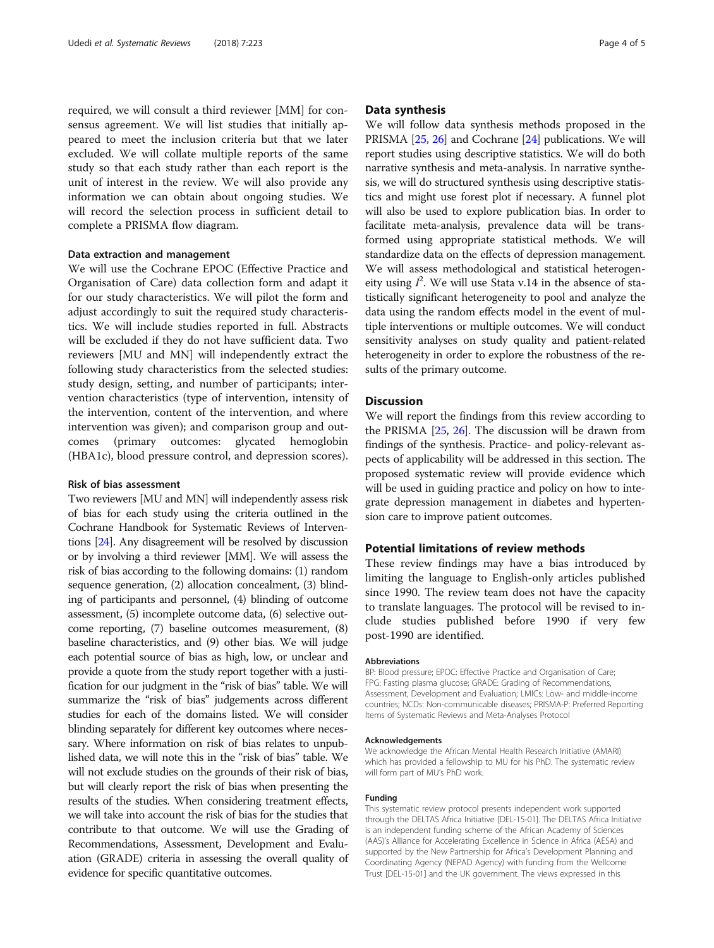required, we will consult a third reviewer [MM] for consensus agreement. We will list studies that initially appeared to meet the inclusion criteria but that we later excluded. We will collate multiple reports of the same study so that each study rather than each report is the unit of interest in the review. We will also provide any information we can obtain about ongoing studies. We will record the selection process in sufficient detail to complete a PRISMA flow diagram.

## Data extraction and management

We will use the Cochrane EPOC (Effective Practice and Organisation of Care) data collection form and adapt it for our study characteristics. We will pilot the form and adjust accordingly to suit the required study characteristics. We will include studies reported in full. Abstracts will be excluded if they do not have sufficient data. Two reviewers [MU and MN] will independently extract the following study characteristics from the selected studies: study design, setting, and number of participants; intervention characteristics (type of intervention, intensity of the intervention, content of the intervention, and where intervention was given); and comparison group and outcomes (primary outcomes: glycated hemoglobin (HBA1c), blood pressure control, and depression scores).

## Risk of bias assessment

Two reviewers [MU and MN] will independently assess risk of bias for each study using the criteria outlined in the Cochrane Handbook for Systematic Reviews of Interventions [\[24](#page-4-0)]. Any disagreement will be resolved by discussion or by involving a third reviewer [MM]. We will assess the risk of bias according to the following domains: (1) random sequence generation, (2) allocation concealment, (3) blinding of participants and personnel, (4) blinding of outcome assessment, (5) incomplete outcome data, (6) selective outcome reporting, (7) baseline outcomes measurement, (8) baseline characteristics, and (9) other bias. We will judge each potential source of bias as high, low, or unclear and provide a quote from the study report together with a justification for our judgment in the "risk of bias" table. We will summarize the "risk of bias" judgements across different studies for each of the domains listed. We will consider blinding separately for different key outcomes where necessary. Where information on risk of bias relates to unpublished data, we will note this in the "risk of bias" table. We will not exclude studies on the grounds of their risk of bias, but will clearly report the risk of bias when presenting the results of the studies. When considering treatment effects, we will take into account the risk of bias for the studies that contribute to that outcome. We will use the Grading of Recommendations, Assessment, Development and Evaluation (GRADE) criteria in assessing the overall quality of evidence for specific quantitative outcomes.

## Data synthesis

We will follow data synthesis methods proposed in the PRISMA [\[25,](#page-4-0) [26](#page-4-0)] and Cochrane [\[24](#page-4-0)] publications. We will report studies using descriptive statistics. We will do both narrative synthesis and meta-analysis. In narrative synthesis, we will do structured synthesis using descriptive statistics and might use forest plot if necessary. A funnel plot will also be used to explore publication bias. In order to facilitate meta-analysis, prevalence data will be transformed using appropriate statistical methods. We will standardize data on the effects of depression management. We will assess methodological and statistical heterogeneity using  $I^2$ . We will use Stata v.14 in the absence of statistically significant heterogeneity to pool and analyze the data using the random effects model in the event of multiple interventions or multiple outcomes. We will conduct sensitivity analyses on study quality and patient-related heterogeneity in order to explore the robustness of the results of the primary outcome.

## **Discussion**

We will report the findings from this review according to the PRISMA [[25,](#page-4-0) [26\]](#page-4-0). The discussion will be drawn from findings of the synthesis. Practice- and policy-relevant aspects of applicability will be addressed in this section. The proposed systematic review will provide evidence which will be used in guiding practice and policy on how to integrate depression management in diabetes and hypertension care to improve patient outcomes.

## Potential limitations of review methods

These review findings may have a bias introduced by limiting the language to English-only articles published since 1990. The review team does not have the capacity to translate languages. The protocol will be revised to include studies published before 1990 if very few post-1990 are identified.

#### Abbreviations

BP: Blood pressure; EPOC: Effective Practice and Organisation of Care; FPG: Fasting plasma glucose; GRADE: Grading of Recommendations, Assessment, Development and Evaluation; LMICs: Low- and middle-income countries; NCDs: Non-communicable diseases; PRISMA-P: Preferred Reporting Items of Systematic Reviews and Meta-Analyses Protocol

#### Acknowledgements

We acknowledge the African Mental Health Research Initiative (AMARI) which has provided a fellowship to MU for his PhD. The systematic review will form part of MU's PhD work.

#### Funding

This systematic review protocol presents independent work supported through the DELTAS Africa Initiative [DEL-15-01]. The DELTAS Africa Initiative is an independent funding scheme of the African Academy of Sciences (AAS)'s Alliance for Accelerating Excellence in Science in Africa (AESA) and supported by the New Partnership for Africa's Development Planning and Coordinating Agency (NEPAD Agency) with funding from the Wellcome Trust [DEL-15-01] and the UK government. The views expressed in this